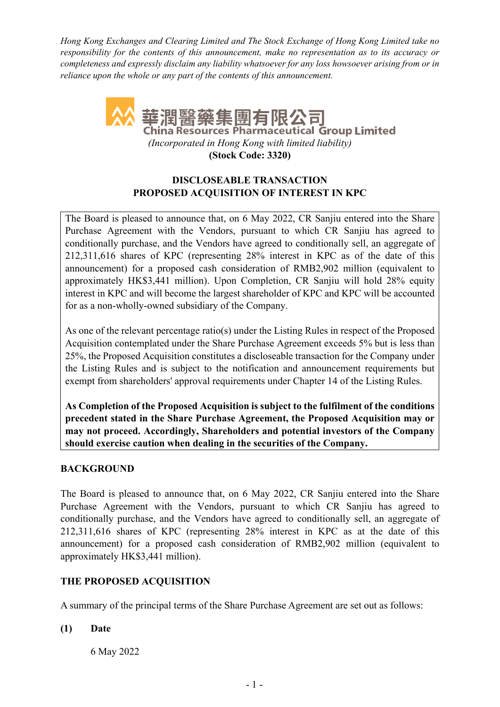*Hong Kong Exchanges and Clearing Limited and The Stock Exchange of Hong Kong Limited take no responsibility for the contents of this announcement, make no representation as to its accuracy or completeness and expressly disclaim any liability whatsoever for any loss howsoever arising from or in reliance upon the whole or any part of the contents of this announcement.* 



**(Stock Code: 3320)** 

# **DISCLOSEABLE TRANSACTION PROPOSED ACQUISITION OF INTEREST IN KPC**

The Board is pleased to announce that, on 6 May 2022, CR Sanjiu entered into the Share Purchase Agreement with the Vendors, pursuant to which CR Sanjiu has agreed to conditionally purchase, and the Vendors have agreed to conditionally sell, an aggregate of 212,311,616 shares of KPC (representing 28% interest in KPC as of the date of this announcement) for a proposed cash consideration of RMB2,902 million (equivalent to approximately HK\$3,441 million). Upon Completion, CR Sanjiu will hold 28% equity interest in KPC and will become the largest shareholder of KPC and KPC will be accounted for as a non-wholly-owned subsidiary of the Company.

As one of the relevant percentage ratio(s) under the Listing Rules in respect of the Proposed Acquisition contemplated under the Share Purchase Agreement exceeds 5% but is less than 25%, the Proposed Acquisition constitutes a discloseable transaction for the Company under the Listing Rules and is subject to the notification and announcement requirements but exempt from shareholders' approval requirements under Chapter 14 of the Listing Rules.

**As Completion of the Proposed Acquisition is subject to the fulfilment of the conditions precedent stated in the Share Purchase Agreement, the Proposed Acquisition may or may not proceed. Accordingly, Shareholders and potential investors of the Company should exercise caution when dealing in the securities of the Company.**

# **BACKGROUND**

The Board is pleased to announce that, on 6 May 2022, CR Sanjiu entered into the Share Purchase Agreement with the Vendors, pursuant to which CR Sanjiu has agreed to conditionally purchase, and the Vendors have agreed to conditionally sell, an aggregate of 212,311,616 shares of KPC (representing 28% interest in KPC as at the date of this announcement) for a proposed cash consideration of RMB2,902 million (equivalent to approximately HK\$3,441 million).

# **THE PROPOSED ACQUISITION**

A summary of the principal terms of the Share Purchase Agreement are set out as follows:

**(1) Date** 

6 May 2022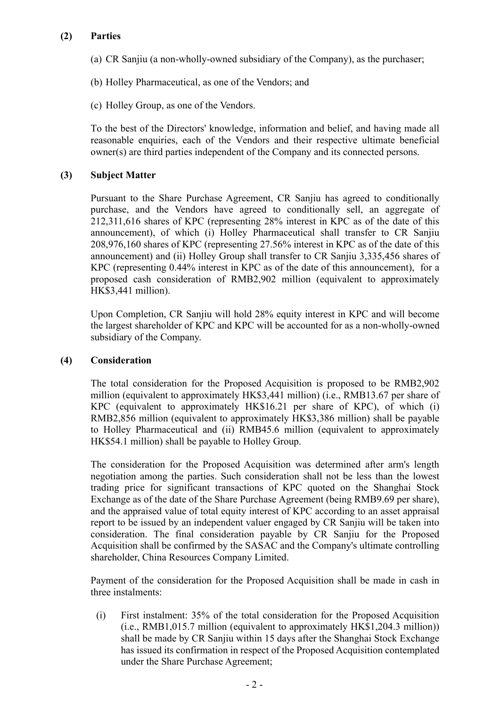# **(2) Parties**

- (a) CR Sanjiu (a non-wholly-owned subsidiary of the Company), as the purchaser;
- (b) Holley Pharmaceutical, as one of the Vendors; and
- (c) Holley Group, as one of the Vendors.

To the best of the Directors' knowledge, information and belief, and having made all reasonable enquiries, each of the Vendors and their respective ultimate beneficial owner(s) are third parties independent of the Company and its connected persons.

### **(3) Subject Matter**

Pursuant to the Share Purchase Agreement, CR Sanjiu has agreed to conditionally purchase, and the Vendors have agreed to conditionally sell, an aggregate of 212,311,616 shares of KPC (representing 28% interest in KPC as of the date of this announcement), of which (i) Holley Pharmaceutical shall transfer to CR Sanjiu 208,976,160 shares of KPC (representing 27.56% interest in KPC as of the date of this announcement) and (ii) Holley Group shall transfer to CR Sanjiu 3,335,456 shares of KPC (representing 0.44% interest in KPC as of the date of this announcement), for a proposed cash consideration of RMB2,902 million (equivalent to approximately HK\$3,441 million).

Upon Completion, CR Sanjiu will hold 28% equity interest in KPC and will become the largest shareholder of KPC and KPC will be accounted for as a non-wholly-owned subsidiary of the Company.

#### **(4) Consideration**

The total consideration for the Proposed Acquisition is proposed to be RMB2,902 million (equivalent to approximately HK\$3,441 million) (i.e., RMB13.67 per share of KPC (equivalent to approximately HK\$16.21 per share of KPC), of which (i) RMB2,856 million (equivalent to approximately HK\$3,386 million) shall be payable to Holley Pharmaceutical and (ii) RMB45.6 million (equivalent to approximately HK\$54.1 million) shall be payable to Holley Group.

The consideration for the Proposed Acquisition was determined after arm's length negotiation among the parties. Such consideration shall not be less than the lowest trading price for significant transactions of KPC quoted on the Shanghai Stock Exchange as of the date of the Share Purchase Agreement (being RMB9.69 per share), and the appraised value of total equity interest of KPC according to an asset appraisal report to be issued by an independent valuer engaged by CR Sanjiu will be taken into consideration. The final consideration payable by CR Sanjiu for the Proposed Acquisition shall be confirmed by the SASAC and the Company's ultimate controlling shareholder, China Resources Company Limited.

Payment of the consideration for the Proposed Acquisition shall be made in cash in three instalments:

(i) First instalment: 35% of the total consideration for the Proposed Acquisition (i.e., RMB1,015.7 million (equivalent to approximately HK\$1,204.3 million)) shall be made by CR Sanjiu within 15 days after the Shanghai Stock Exchange has issued its confirmation in respect of the Proposed Acquisition contemplated under the Share Purchase Agreement;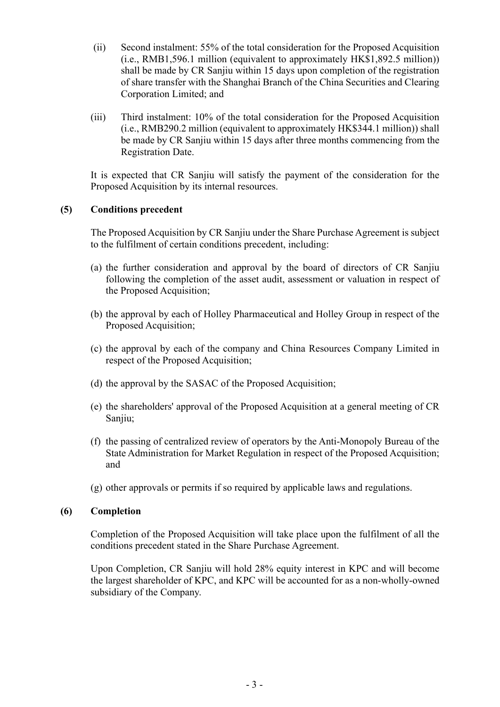- (ii) Second instalment: 55% of the total consideration for the Proposed Acquisition (i.e., RMB1,596.1 million (equivalent to approximately HK\$1,892.5 million)) shall be made by CR Sanjiu within 15 days upon completion of the registration of share transfer with the Shanghai Branch of the China Securities and Clearing Corporation Limited; and
- (iii) Third instalment: 10% of the total consideration for the Proposed Acquisition (i.e., RMB290.2 million (equivalent to approximately HK\$344.1 million)) shall be made by CR Sanjiu within 15 days after three months commencing from the Registration Date.

It is expected that CR Sanjiu will satisfy the payment of the consideration for the Proposed Acquisition by its internal resources.

### **(5) Conditions precedent**

The Proposed Acquisition by CR Sanjiu under the Share Purchase Agreement is subject to the fulfilment of certain conditions precedent, including:

- (a) the further consideration and approval by the board of directors of CR Sanjiu following the completion of the asset audit, assessment or valuation in respect of the Proposed Acquisition;
- (b) the approval by each of Holley Pharmaceutical and Holley Group in respect of the Proposed Acquisition;
- (c) the approval by each of the company and China Resources Company Limited in respect of the Proposed Acquisition;
- (d) the approval by the SASAC of the Proposed Acquisition;
- (e) the shareholders' approval of the Proposed Acquisition at a general meeting of CR Sanjiu;
- (f) the passing of centralized review of operators by the Anti-Monopoly Bureau of the State Administration for Market Regulation in respect of the Proposed Acquisition; and
- (g) other approvals or permits if so required by applicable laws and regulations.

#### **(6) Completion**

Completion of the Proposed Acquisition will take place upon the fulfilment of all the conditions precedent stated in the Share Purchase Agreement.

Upon Completion, CR Sanjiu will hold 28% equity interest in KPC and will become the largest shareholder of KPC, and KPC will be accounted for as a non-wholly-owned subsidiary of the Company.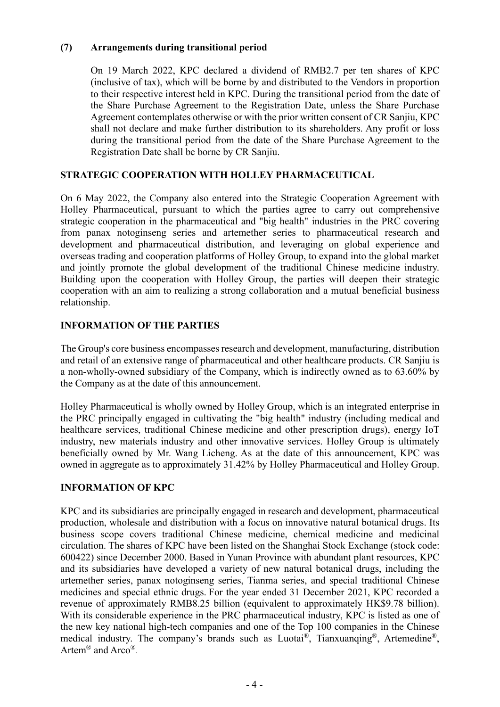### **(7) Arrangements during transitional period**

On 19 March 2022, KPC declared a dividend of RMB2.7 per ten shares of KPC (inclusive of tax), which will be borne by and distributed to the Vendors in proportion to their respective interest held in KPC. During the transitional period from the date of the Share Purchase Agreement to the Registration Date, unless the Share Purchase Agreement contemplates otherwise or with the prior written consent of CR Sanjiu, KPC shall not declare and make further distribution to its shareholders. Any profit or loss during the transitional period from the date of the Share Purchase Agreement to the Registration Date shall be borne by CR Sanjiu.

# **STRATEGIC COOPERATION WITH HOLLEY PHARMACEUTICAL**

On 6 May 2022, the Company also entered into the Strategic Cooperation Agreement with Holley Pharmaceutical, pursuant to which the parties agree to carry out comprehensive strategic cooperation in the pharmaceutical and "big health" industries in the PRC covering from panax notoginseng series and artemether series to pharmaceutical research and development and pharmaceutical distribution, and leveraging on global experience and overseas trading and cooperation platforms of Holley Group, to expand into the global market and jointly promote the global development of the traditional Chinese medicine industry. Building upon the cooperation with Holley Group, the parties will deepen their strategic cooperation with an aim to realizing a strong collaboration and a mutual beneficial business relationship.

# **INFORMATION OF THE PARTIES**

The Group's core business encompasses research and development, manufacturing, distribution and retail of an extensive range of pharmaceutical and other healthcare products. CR Sanjiu is a non-wholly-owned subsidiary of the Company, which is indirectly owned as to 63.60% by the Company as at the date of this announcement.

Holley Pharmaceutical is wholly owned by Holley Group, which is an integrated enterprise in the PRC principally engaged in cultivating the "big health" industry (including medical and healthcare services, traditional Chinese medicine and other prescription drugs), energy IoT industry, new materials industry and other innovative services. Holley Group is ultimately beneficially owned by Mr. Wang Licheng. As at the date of this announcement, KPC was owned in aggregate as to approximately 31.42% by Holley Pharmaceutical and Holley Group.

# **INFORMATION OF KPC**

KPC and its subsidiaries are principally engaged in research and development, pharmaceutical production, wholesale and distribution with a focus on innovative natural botanical drugs. Its business scope covers traditional Chinese medicine, chemical medicine and medicinal circulation. The shares of KPC have been listed on the Shanghai Stock Exchange (stock code: 600422) since December 2000. Based in Yunan Province with abundant plant resources, KPC and its subsidiaries have developed a variety of new natural botanical drugs, including the artemether series, panax notoginseng series, Tianma series, and special traditional Chinese medicines and special ethnic drugs. For the year ended 31 December 2021, KPC recorded a revenue of approximately RMB8.25 billion (equivalent to approximately HK\$9.78 billion). With its considerable experience in the PRC pharmaceutical industry, KPC is listed as one of the new key national high-tech companies and one of the Top 100 companies in the Chinese medical industry. The company's brands such as Luotai®, Tianxuanqing®, Artemedine®, Artem<sup>®</sup> and Arco<sup>®</sup>.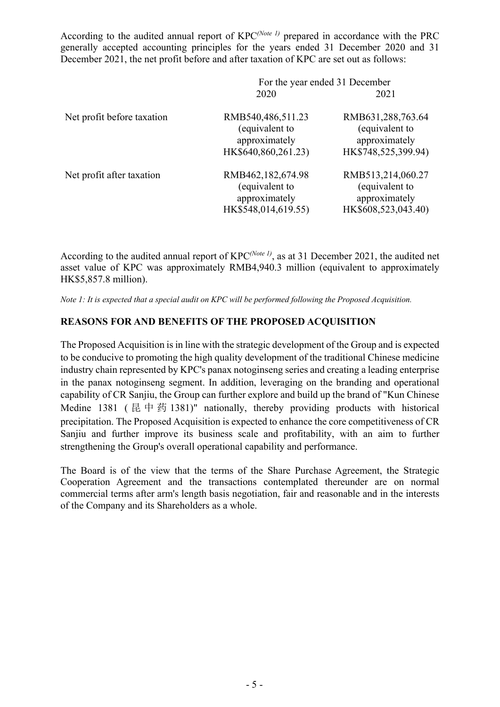According to the audited annual report of KPC*(Note 1)* prepared in accordance with the PRC generally accepted accounting principles for the years ended 31 December 2020 and 31 December 2021, the net profit before and after taxation of KPC are set out as follows:

|                            | For the year ended 31 December                                              |                                                                             |
|----------------------------|-----------------------------------------------------------------------------|-----------------------------------------------------------------------------|
|                            | 2020                                                                        | 2021                                                                        |
| Net profit before taxation | RMB540,486,511.23<br>(equivalent to<br>approximately<br>HK\$640,860,261.23) | RMB631,288,763.64<br>(equivalent to<br>approximately<br>HK\$748,525,399.94) |
| Net profit after taxation  | RMB462,182,674.98<br>(equivalent to<br>approximately<br>HK\$548,014,619.55) | RMB513,214,060.27<br>(equivalent to<br>approximately<br>HK\$608,523,043.40) |

According to the audited annual report of KPC*(Note 1)*, as at 31 December 2021, the audited net asset value of KPC was approximately RMB4,940.3 million (equivalent to approximately HK\$5,857.8 million).

*Note 1: It is expected that a special audit on KPC will be performed following the Proposed Acquisition.* 

### **REASONS FOR AND BENEFITS OF THE PROPOSED ACQUISITION**

The Proposed Acquisition is in line with the strategic development of the Group and is expected to be conducive to promoting the high quality development of the traditional Chinese medicine industry chain represented by KPC's panax notoginseng series and creating a leading enterprise in the panax notoginseng segment. In addition, leveraging on the branding and operational capability of CR Sanjiu, the Group can further explore and build up the brand of "Kun Chinese Medine 1381 (昆中药 1381)" nationally, thereby providing products with historical precipitation. The Proposed Acquisition is expected to enhance the core competitiveness of CR Sanjiu and further improve its business scale and profitability, with an aim to further strengthening the Group's overall operational capability and performance.

The Board is of the view that the terms of the Share Purchase Agreement, the Strategic Cooperation Agreement and the transactions contemplated thereunder are on normal commercial terms after arm's length basis negotiation, fair and reasonable and in the interests of the Company and its Shareholders as a whole.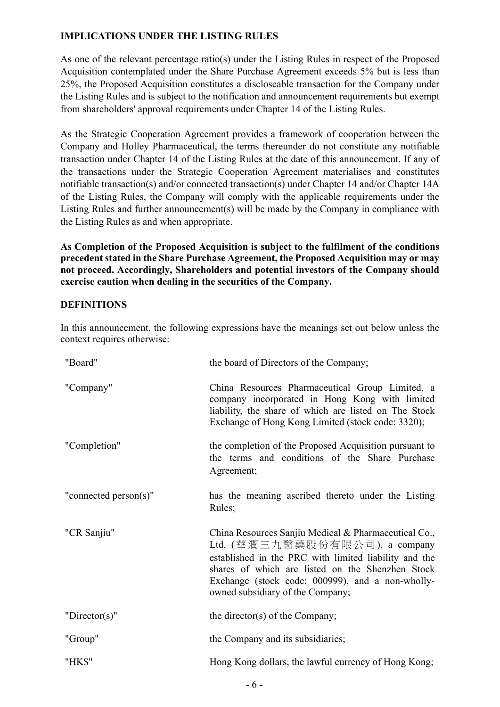# **IMPLICATIONS UNDER THE LISTING RULES**

As one of the relevant percentage ratio(s) under the Listing Rules in respect of the Proposed Acquisition contemplated under the Share Purchase Agreement exceeds 5% but is less than 25%, the Proposed Acquisition constitutes a discloseable transaction for the Company under the Listing Rules and is subject to the notification and announcement requirements but exempt from shareholders' approval requirements under Chapter 14 of the Listing Rules.

As the Strategic Cooperation Agreement provides a framework of cooperation between the Company and Holley Pharmaceutical, the terms thereunder do not constitute any notifiable transaction under Chapter 14 of the Listing Rules at the date of this announcement. If any of the transactions under the Strategic Cooperation Agreement materialises and constitutes notifiable transaction(s) and/or connected transaction(s) under Chapter 14 and/or Chapter 14A of the Listing Rules, the Company will comply with the applicable requirements under the Listing Rules and further announcement(s) will be made by the Company in compliance with the Listing Rules as and when appropriate.

**As Completion of the Proposed Acquisition is subject to the fulfilment of the conditions precedent stated in the Share Purchase Agreement, the Proposed Acquisition may or may not proceed. Accordingly, Shareholders and potential investors of the Company should exercise caution when dealing in the securities of the Company.** 

# **DEFINITIONS**

In this announcement, the following expressions have the meanings set out below unless the context requires otherwise:

| "Board"               | the board of Directors of the Company;                                                                                                                                                                                                                                                                         |
|-----------------------|----------------------------------------------------------------------------------------------------------------------------------------------------------------------------------------------------------------------------------------------------------------------------------------------------------------|
| "Company"             | China Resources Pharmaceutical Group Limited, a<br>company incorporated in Hong Kong with limited<br>liability, the share of which are listed on The Stock<br>Exchange of Hong Kong Limited (stock code: 3320);                                                                                                |
| "Completion"          | the completion of the Proposed Acquisition pursuant to<br>the terms and conditions of the Share Purchase<br>Agreement;                                                                                                                                                                                         |
| "connected person(s)" | has the meaning ascribed thereto under the Listing<br>Rules;                                                                                                                                                                                                                                                   |
| "CR Sanjiu"           | China Resources Sanjiu Medical & Pharmaceutical Co.,<br>Ltd. $(\ddot{\mathbb{1}}$ 潤三九醫藥股份有限公司), a company<br>established in the PRC with limited liability and the<br>shares of which are listed on the Shenzhen Stock<br>Exchange (stock code: 000999), and a non-wholly-<br>owned subsidiary of the Company; |
| " $Directory$ "       | the director(s) of the Company;                                                                                                                                                                                                                                                                                |
| "Group"               | the Company and its subsidiaries;                                                                                                                                                                                                                                                                              |
| "HK\$"                | Hong Kong dollars, the lawful currency of Hong Kong;                                                                                                                                                                                                                                                           |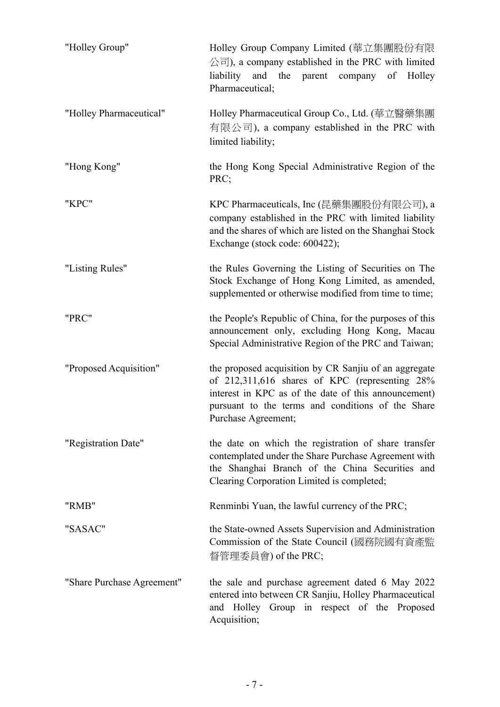| "Holley Group"             | Holley Group Company Limited (華立集團股份有限<br>公司), a company established in the PRC with limited<br>liability<br>and the parent company<br>of Holley<br>Pharmaceutical;                                                                         |
|----------------------------|---------------------------------------------------------------------------------------------------------------------------------------------------------------------------------------------------------------------------------------------|
| "Holley Pharmaceutical"    | Holley Pharmaceutical Group Co., Ltd. (華立醫藥集團<br>有限公司), a company established in the PRC with<br>limited liability;                                                                                                                         |
| "Hong Kong"                | the Hong Kong Special Administrative Region of the<br>PRC;                                                                                                                                                                                  |
| "KPC"                      | KPC Pharmaceuticals, Inc (昆藥集團股份有限公司), a<br>company established in the PRC with limited liability<br>and the shares of which are listed on the Shanghai Stock<br>Exchange (stock code: 600422);                                             |
| "Listing Rules"            | the Rules Governing the Listing of Securities on The<br>Stock Exchange of Hong Kong Limited, as amended,<br>supplemented or otherwise modified from time to time;                                                                           |
| "PRC"                      | the People's Republic of China, for the purposes of this<br>announcement only, excluding Hong Kong, Macau<br>Special Administrative Region of the PRC and Taiwan;                                                                           |
| "Proposed Acquisition"     | the proposed acquisition by CR Sanjiu of an aggregate<br>of 212,311,616 shares of KPC (representing 28%<br>interest in KPC as of the date of this announcement)<br>pursuant to the terms and conditions of the Share<br>Purchase Agreement; |
| "Registration Date"        | the date on which the registration of share transfer<br>contemplated under the Share Purchase Agreement with<br>the Shanghai Branch of the China Securities and<br>Clearing Corporation Limited is completed;                               |
| "RMB"                      | Renminbi Yuan, the lawful currency of the PRC;                                                                                                                                                                                              |
| "SASAC"                    | the State-owned Assets Supervision and Administration<br>Commission of the State Council (國務院國有資產監<br>督管理委員會) of the PRC;                                                                                                                   |
| "Share Purchase Agreement" | the sale and purchase agreement dated 6 May 2022<br>entered into between CR Sanjiu, Holley Pharmaceutical<br>and Holley Group in respect of the Proposed<br>Acquisition;                                                                    |